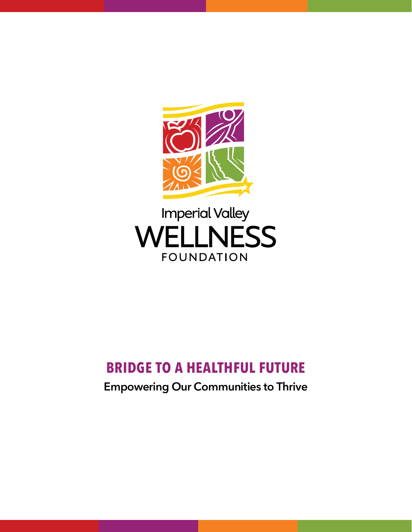

# **Imperial Valley WELLNESS FOUNDATION**

# **Bridge to a Healthful Future**

# **Empowering Our Communities to Thrive**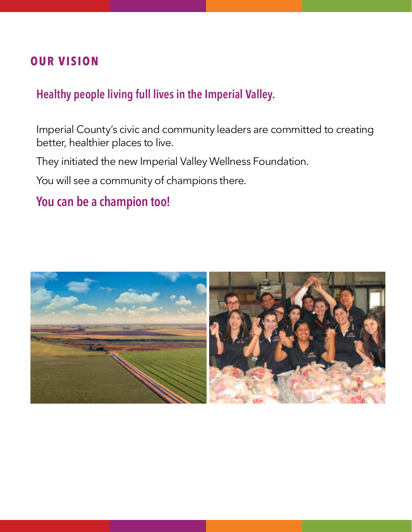# **OUR Vision**

# **Healthy people living full lives in the Imperial Valley.**

Imperial County's civic and community leaders are committed to creating better, healthier places to live.

They initiated the new Imperial Valley Wellness Foundation.

You will see a community of champions there.

# **You can be a champion too!**

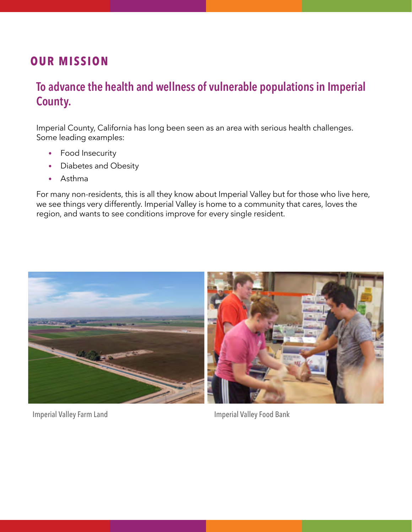# **OUR Mission**

# **To advance the health and wellness of vulnerable populations in Imperial County.**

Imperial County, California has long been seen as an area with serious health challenges. Some leading examples:

- Food Insecurity
- Diabetes and Obesity
- • Asthma

For many non-residents, this is all they know about Imperial Valley but for those who live here, we see things very differently. Imperial Valley is home to a community that cares, loves the region, and wants to see conditions improve for every single resident.



Imperial Valley Farm Land Imperial Valley Food Bank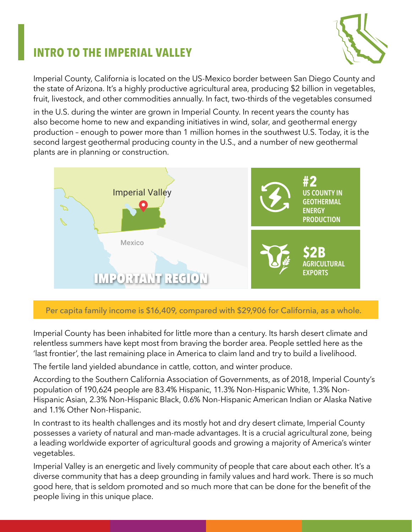# **Intro to the imperial valley**



Imperial County, California is located on the US-Mexico border between San Diego County and the state of Arizona. It's a highly productive agricultural area, producing \$2 billion in vegetables, fruit, livestock, and other commodities annually. In fact, two-thirds of the vegetables consumed

in the U.S. during the winter are grown in Imperial County. In recent years the county has also become home to new and expanding initiatives in wind, solar, and geothermal energy production – enough to power more than 1 million homes in the southwest U.S. Today, it is the second largest geothermal producing county in the U.S., and a number of new geothermal plants are in planning or construction.



Per capita family income is \$16,409, compared with \$29,906 for California, as a whole.

Imperial County has been inhabited for little more than a century. Its harsh desert climate and relentless summers have kept most from braving the border area. People settled here as the 'last frontier', the last remaining place in America to claim land and try to build a livelihood.

The fertile land yielded abundance in cattle, cotton, and winter produce.

According to the Southern California Association of Governments, as of 2018, Imperial County's population of 190,624 people are 83.4% Hispanic, 11.3% Non-Hispanic White, 1.3% Non-Hispanic Asian, 2.3% Non-Hispanic Black, 0.6% Non-Hispanic American Indian or Alaska Native and 1.1% Other Non-Hispanic.

In contrast to its health challenges and its mostly hot and dry desert climate, Imperial County possesses a variety of natural and man-made advantages. It is a crucial agricultural zone, being a leading worldwide exporter of agricultural goods and growing a majority of America's winter vegetables.

Imperial Valley is an energetic and lively community of people that care about each other. It's a diverse community that has a deep grounding in family values and hard work. There is so much good here, that is seldom promoted and so much more that can be done for the benefit of the people living in this unique place.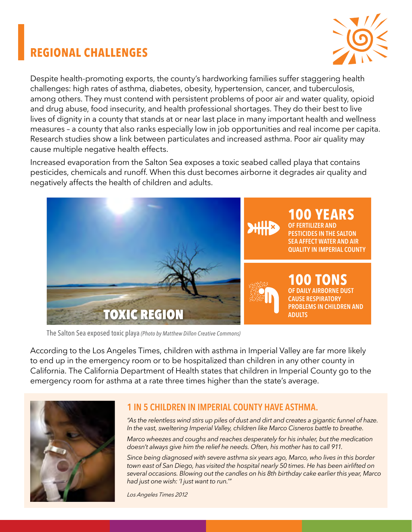# **Regional Challenges**



Despite health-promoting exports, the county's hardworking families suffer staggering health challenges: high rates of asthma, diabetes, obesity, hypertension, cancer, and tuberculosis, among others. They must contend with persistent problems of poor air and water quality, opioid and drug abuse, food insecurity, and health professional shortages. They do their best to live lives of dignity in a county that stands at or near last place in many important health and wellness measures – a county that also ranks especially low in job opportunities and real income per capita. Research studies show a link between particulates and increased asthma. Poor air quality may cause multiple negative health effects.

Increased evaporation from the Salton Sea exposes a toxic seabed called playa that contains pesticides, chemicals and runoff. When this dust becomes airborne it degrades air quality and negatively affects the health of children and adults.



The Salton Sea exposed toxic playa *(Photo by Matthew Dillon Creative Commons)*

According to the Los Angeles Times, children with asthma in Imperial Valley are far more likely to end up in the emergency room or to be hospitalized than children in any other county in California. The California Department of Health states that children in Imperial County go to the emergency room for asthma at a rate three times higher than the state's average.



#### **1 in 5 Children in Imperial County have asthma.**

*"As the relentless wind stirs up piles of dust and dirt and creates a gigantic funnel of haze. In the vast, sweltering Imperial Valley, children like Marco Cisneros battle to breathe.*

*Marco wheezes and coughs and reaches desperately for his inhaler, but the medication doesn't always give him the relief he needs. Often, his mother has to call 911.*

*Since being diagnosed with severe asthma six years ago, Marco, who lives in this border town east of San Diego, has visited the hospital nearly 50 times. He has been airlifted on several occasions. Blowing out the candles on his 8th birthday cake earlier this year, Marco had just one wish: 'I just want to run.'"*

*Los Angeles Times 2012*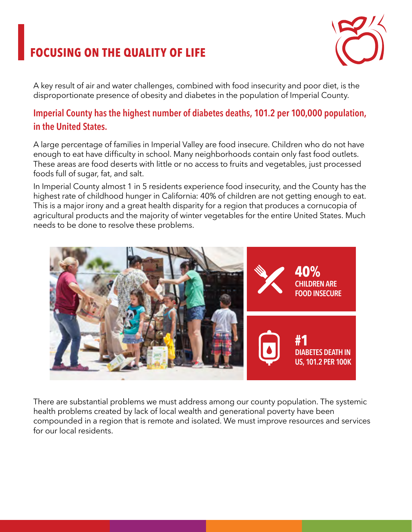# **Focusing on the Quality of Life**



A key result of air and water challenges, combined with food insecurity and poor diet, is the disproportionate presence of obesity and diabetes in the population of Imperial County.

### **Imperial County has the highest number of diabetes deaths, 101.2 per 100,000 population, in the United States.**

A large percentage of families in Imperial Valley are food insecure. Children who do not have enough to eat have difficulty in school. Many neighborhoods contain only fast food outlets. These areas are food deserts with little or no access to fruits and vegetables, just processed foods full of sugar, fat, and salt.

In Imperial County almost 1 in 5 residents experience food insecurity, and the County has the highest rate of childhood hunger in California: 40% of children are not getting enough to eat. This is a major irony and a great health disparity for a region that produces a cornucopia of agricultural products and the majority of winter vegetables for the entire United States. Much needs to be done to resolve these problems.



There are substantial problems we must address among our county population. The systemic health problems created by lack of local wealth and generational poverty have been compounded in a region that is remote and isolated. We must improve resources and services for our local residents.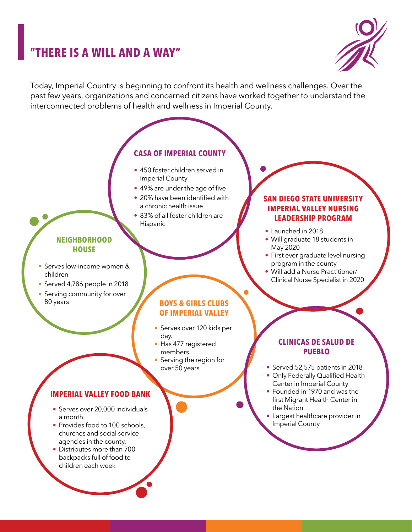# **"There is a will and a way"**



Today, Imperial Country is beginning to confront its health and wellness challenges. Over the past few years, organizations and concerned citizens have worked together to understand the interconnected problems of health and wellness in Imperial County.

#### **CASA of Imperial County**

- 450 foster children served in Imperial County
- 49% are under the age of five
- 20% have been identified with a chronic health issue
- 83% of all foster children are Hispanic

#### **Neighborhood House**

- Serves low-income women & children
- Served 4,786 people in 2018
- Serving community for over 80 years

#### **Boys & Girls Clubs of Imperial Valley**

- Serves over 120 kids per day.
- Has 477 registered members
- Serving the region for over 50 years

#### **Imperial valley food bank**

- Serves over 20,000 individuals a month.
- Provides food to 100 schools, churches and social service agencies in the county.
- Distributes more than 700 backpacks full of food to children each week

#### **Clinicas de Salud de Pueblo**

- Served 52,575 patients in 2018
- Only Federally Qualified Health Center in Imperial County
- Founded in 1970 and was the first Migrant Health Center in the Nation
- Largest healthcare provider in Imperial County

#### **SAN DIEGO STATE UNIVERSITY IMPERIAL VALLEY NURSING LEADERSHIP PROGRAM**

- Launched in 2018
- Will graduate 18 students in May 2020
- First ever graduate level nursing program in the county
- Will add a Nurse Practitioner/ Clinical Nurse Specialist in 2020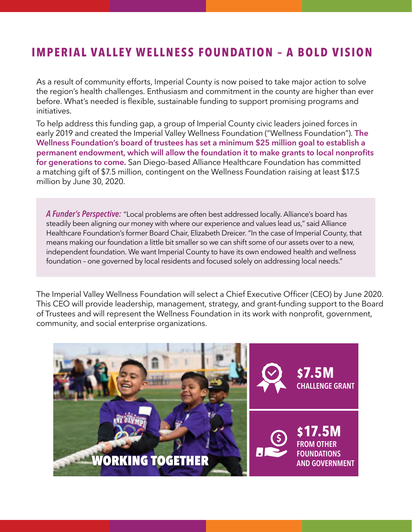# **IMPERIAL VALLEY WELLNESS FOUNDATION – A BOLD VISION**

As a result of community efforts, Imperial County is now poised to take major action to solve the region's health challenges. Enthusiasm and commitment in the county are higher than ever before. What's needed is flexible, sustainable funding to support promising programs and initiatives.

To help address this funding gap, a group of Imperial County civic leaders joined forces in early 2019 and created the Imperial Valley Wellness Foundation ("Wellness Foundation"). **The Wellness Foundation's board of trustees has set a minimum \$25 million goal to establish a permanent endowment, which will allow the foundation it to make grants to local nonprofits for generations to come.** San Diego-based Alliance Healthcare Foundation has committed a matching gift of \$7.5 million, contingent on the Wellness Foundation raising at least \$17.5 million by June 30, 2020.

*A Funder's Perspective:* "Local problems are often best addressed locally. Alliance's board has steadily been aligning our money with where our experience and values lead us," said Alliance Healthcare Foundation's former Board Chair, Elizabeth Dreicer. "In the case of Imperial County, that means making our foundation a little bit smaller so we can shift some of our assets over to a new, independent foundation. We want Imperial County to have its own endowed health and wellness foundation – one governed by local residents and focused solely on addressing local needs."

The Imperial Valley Wellness Foundation will select a Chief Executive Officer (CEO) by June 2020. This CEO will provide leadership, management, strategy, and grant-funding support to the Board of Trustees and will represent the Wellness Foundation in its work with nonprofit, government, community, and social enterprise organizations.

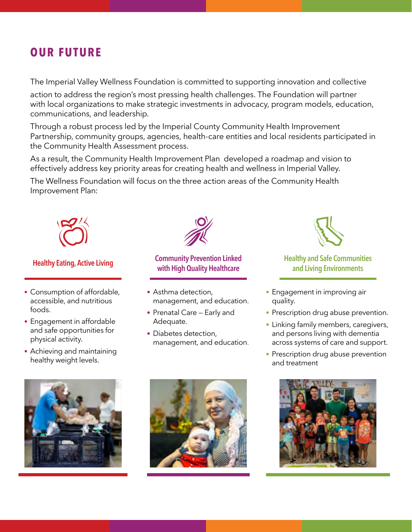# **OUR FUTURE**

The Imperial Valley Wellness Foundation is committed to supporting innovation and collective

action to address the region's most pressing health challenges. The Foundation will partner with local organizations to make strategic investments in advocacy, program models, education, communications, and leadership.

Through a robust process led by the Imperial County Community Health Improvement Partnership, community groups, agencies, health-care entities and local residents participated in the Community Health Assessment process.

As a result, the Community Health Improvement Plan developed a roadmap and vision to effectively address key priority areas for creating health and wellness in Imperial Valley.

The Wellness Foundation will focus on the three action areas of the Community Health Improvement Plan:



- Consumption of affordable, accessible, and nutritious foods.
- Engagement in affordable and safe opportunities for physical activity.
- Achieving and maintaining healthy weight levels.



#### **Healthy Eating, Active Living Community Prevention Linked Healthy and Safe Communities Community Prevention Linked with High Quality Healthcare**

- Asthma detection, management, and education.
- Prenatal Care Early and Adequate.
- Diabetes detection, management, and education.



# **and Living Environments**

- Engagement in improving air quality.
- Prescription drug abuse prevention.
- Linking family members, caregivers, and persons living with dementia across systems of care and support.
- Prescription drug abuse prevention and treatment





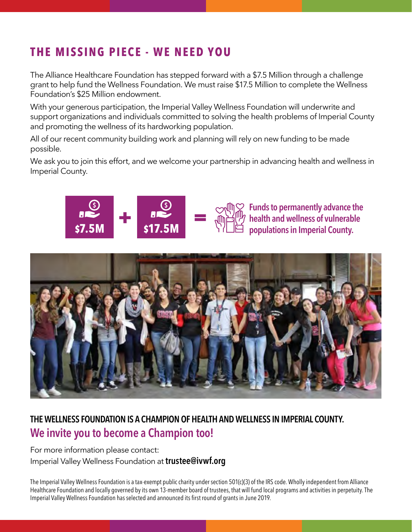# **THE MISSING PIECE - WE NEED YOU**

The Alliance Healthcare Foundation has stepped forward with a \$7.5 Million through a challenge grant to help fund the Wellness Foundation. We must raise \$17.5 Million to complete the Wellness Foundation's \$25 Million endowment.

With your generous participation, the Imperial Valley Wellness Foundation will underwrite and support organizations and individuals committed to solving the health problems of Imperial County and promoting the wellness of its hardworking population.

All of our recent community building work and planning will rely on new funding to be made possible.

We ask you to join this effort, and we welcome your partnership in advancing health and wellness in Imperial County.





**Funds to permanently advance the health and wellness of vulnerable \$7.5M \$17.5M populations in Imperial County.**



# **The Wellness Foundation is a Champion of health and wellness in Imperial County. We invite you to become a Champion too!**

For more information please contact: Imperial Valley Wellness Foundation at **trustee@ivwf.org** 

The Imperial Valley Wellness Foundation is a tax-exempt public charity under section 501(c)(3) of the IRS code. Wholly independent from Alliance Healthcare Foundation and locally governed by its own 13-member board of trustees, that will fund local programs and activities in perpetuity. The Imperial Valley Wellness Foundation has selected and announced its first round of grants in June 2019.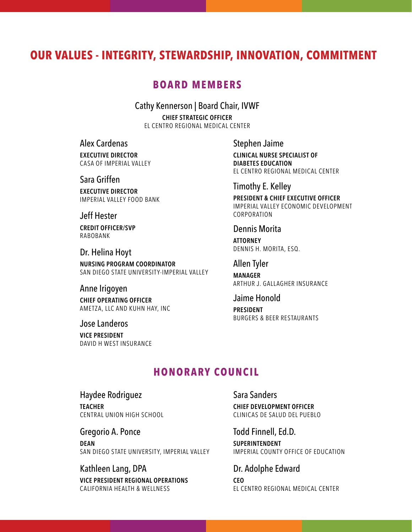### **Our Values - Integrity, Stewardship, Innovation, Commitment**

#### **Board Members**

Cathy Kennerson | Board Chair, IVWF

**Chief Strategic Officer** El Centro Regional Medical Center

#### Alex Cardenas

**Executive Director** casa of imperial valley

Sara Griffen

**Executive Director** Imperial Valley Food Bank

Jeff Hester **Credit Officer/SVP** Rabobank

Dr. Helina Hoyt **Nursing Program Coordinator** SAN DIEGO STATE UNIVERSITY-IMPERIAL VALLEY

#### Anne Irigoyen

**Chief Operating Officer** Ametza, LLC and Kuhn Hay, Inc

Jose Landeros **Vice President** David H West Insurance Stephen Jaime

**Clinical Nurse Specialist of Diabetes Education**  El Centro Regional Medical Center

Timothy E. Kelley

**President & Chief Executive Officer** Imperial Valley Economic Development Corporation

#### Dennis Morita

**Attorney** Dennis H. Morita, Esq.

Allen Tyler **Manager**

Arthur J. Gallagher Insurance

Jaime Honold **President** Burgers & Beer Restaurants

#### **HONORARY COUNCIL**

Haydee Rodriguez **Teacher** Central Union High School

Gregorio A. Ponce **Dean** SAN DIEGO STATE UNIVERSITY, IMPERIAL VALLEY

Kathleen Lang, DPA **Vice President Regional Operations** California Health & Wellness

Sara Sanders **Chief Development Officer** Clinicas de Salud del Pueblo

Todd Finnell, Ed.D. **Superintendent** IMPERIAL COUNTY OFFICE OF EDUCATION

Dr. Adolphe Edward **CEO** El Centro Regional Medical Center